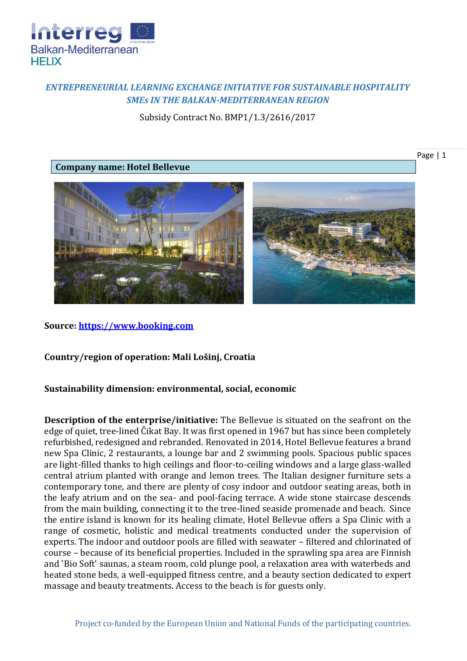

## *ENTREPRENEURIAL LEARNING EXCHANGE INITIATIVE FOR SUSTAINABLE HOSPITALITY SMEs IN THE BALKAN-MEDITERRANEAN REGION*

Subsidy Contract No. BMP1/1.3/2616/2017

## **Company name: Hotel Bellevue**



## **Source: [https://www.booking.com](https://www.booking.com/hotel/hr/bellevue-mali-losinj.en-gb.html?aid=311984;label=hotel-21261-hr-je6Bqqxz_nJIZj_tPbw_dgS253773192401%3Apl%3Ata%3Ap1%3Ap2%3Aac%3Aap1t1%3Aneg%3Afi%3Atikwd-13997069070%3Alp1001453%3Ali%3Adec%3Adm;sid=34ffd6e29027a17e690294644c43afc2;all_sr_blocks=2126103_106596879_0_1_0;bshb=2;checkin=2018-05-25;checkout=2018-06-01;dest_id=-88281;dest_type=city;dist=0;group_adults=2;hapos=1;highlighted_blocks=2126103_106596879_0_1_0;hpos=1;room1=A%2CA;sb_price_type=total;srepoch=1524144223;srfid=593db36d64e76fe408b4697491e4988c7d96e03fX1;srpvid=e9dd5e2efde60016;type=total;ucfs=1&#hotelTmpl)**

**Country/region of operation: Mali Lošinj, Croatia**

## **Sustainability dimension: environmental, social, economic**

**Description of the enterprise/initiative:** The Bellevue is situated on the seafront on the edge of quiet, tree-lined Čikat Bay. It was first opened in 1967 but has since been completely refurbished, redesigned and rebranded. Renovated in 2014, Hotel Bellevue features a brand new Spa Clinic, 2 restaurants, a lounge bar and 2 swimming pools. Spacious public spaces are light-filled thanks to high ceilings and floor-to-ceiling windows and a large glass-walled central atrium planted with orange and lemon trees. The Italian designer furniture sets a contemporary tone, and there are plenty of cosy indoor and outdoor seating areas, both in the leafy atrium and on the sea- and pool-facing terrace. A wide stone staircase descends from the main building, connecting it to the tree-lined seaside promenade and beach. Since the entire island is known for its healing climate, Hotel Bellevue offers a Spa Clinic with a range of cosmetic, holistic and medical treatments conducted under the supervision of experts. The indoor and outdoor pools are filled with seawater – filtered and chlorinated of course – because of its beneficial properties. Included in the sprawling spa area are Finnish and 'Bio Soft' saunas, a steam room, cold plunge pool, a relaxation area with waterbeds and heated stone beds, a well-equipped fitness centre, and a beauty section dedicated to expert massage and beauty treatments. Access to the beach is for guests only.

Page | 1